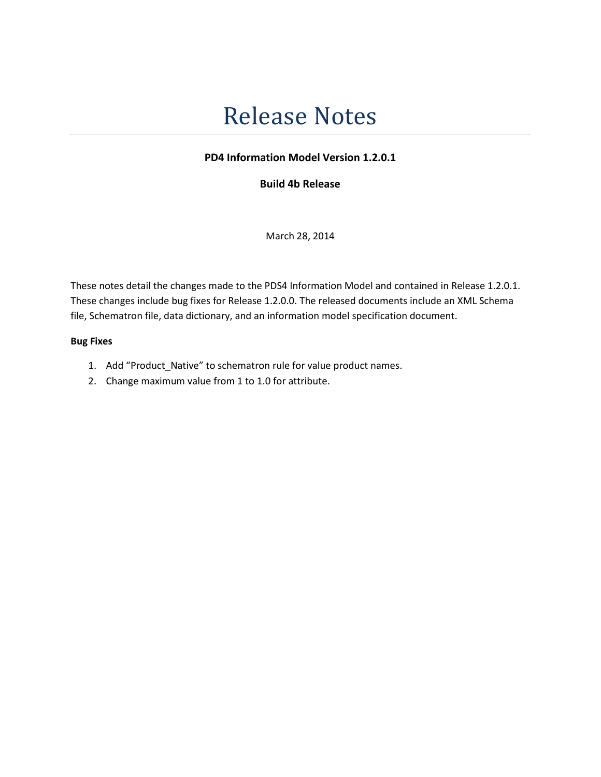# Release Notes

# PD4 Information Model Version 1.2.0.1

Build 4b Release

March 28, 2014

These notes detail the changes made to the PDS4 Information Model and contained in Release 1.2.0.1. These changes include bug fixes for Release 1.2.0.0. The released documents include an XML Schema file, Schematron file, data dictionary, and an information model specification document.

#### Bug Fixes

- 1. Add "Product\_Native" to schematron rule for value product names.
- 2. Change maximum value from 1 to 1.0 for attribute.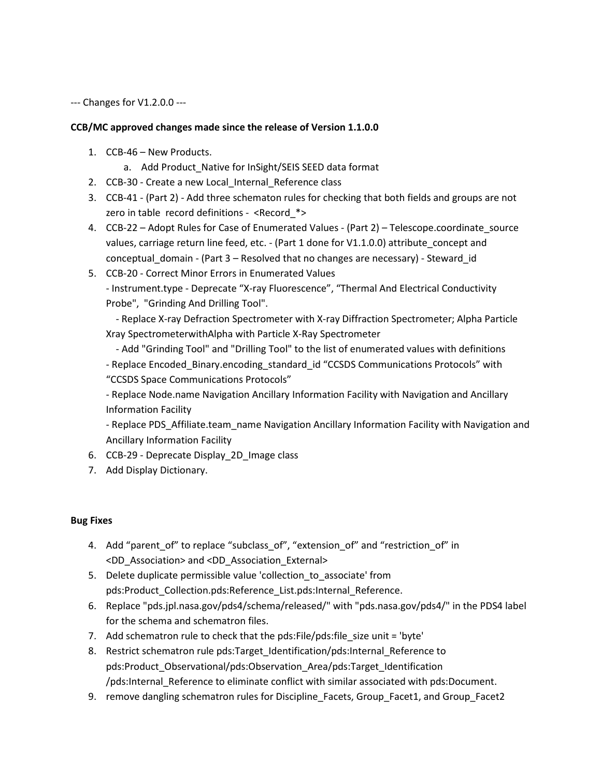--- Changes for V1.2.0.0 ---

### CCB/MC approved changes made since the release of Version 1.1.0.0

- 1. CCB-46 New Products.
	- a. Add Product\_Native for InSight/SEIS SEED data format
- 2. CCB-30 Create a new Local\_Internal\_Reference class
- 3. CCB-41 (Part 2) Add three schematon rules for checking that both fields and groups are not zero in table record definitions - <Record\_\*>
- 4. CCB-22 Adopt Rules for Case of Enumerated Values (Part 2) Telescope.coordinate source values, carriage return line feed, etc. - (Part 1 done for V1.1.0.0) attribute\_concept and conceptual domain - (Part 3 – Resolved that no changes are necessary) - Steward id
- 5. CCB-20 Correct Minor Errors in Enumerated Values - Instrument.type - Deprecate "X-ray Fluorescence", "Thermal And Electrical Conductivity Probe", "Grinding And Drilling Tool".

 - Replace X-ray Defraction Spectrometer with X-ray Diffraction Spectrometer; Alpha Particle Xray SpectrometerwithAlpha with Particle X-Ray Spectrometer

 - Add "Grinding Tool" and "Drilling Tool" to the list of enumerated values with definitions - Replace Encoded\_Binary.encoding\_standard\_id "CCSDS Communications Protocols" with "CCSDS Space Communications Protocols"

- Replace Node.name Navigation Ancillary Information Facility with Navigation and Ancillary Information Facility

- Replace PDS\_Affiliate.team\_name Navigation Ancillary Information Facility with Navigation and Ancillary Information Facility

- 6. CCB-29 Deprecate Display 2D Image class
- 7. Add Display Dictionary.

## Bug Fixes

- 4. Add "parent\_of" to replace "subclass\_of", "extension\_of" and "restriction\_of" in <DD\_Association> and <DD\_Association\_External>
- 5. Delete duplicate permissible value 'collection\_to\_associate' from pds:Product Collection.pds:Reference List.pds:Internal Reference.
- 6. Replace "pds.jpl.nasa.gov/pds4/schema/released/" with "pds.nasa.gov/pds4/" in the PDS4 label for the schema and schematron files.
- 7. Add schematron rule to check that the pds: File/pds: file size unit = 'byte'
- 8. Restrict schematron rule pds:Target\_Identification/pds:Internal\_Reference to pds:Product\_Observational/pds:Observation\_Area/pds:Target\_Identification /pds:Internal\_Reference to eliminate conflict with similar associated with pds:Document.
- 9. remove dangling schematron rules for Discipline Facets, Group Facet1, and Group Facet2